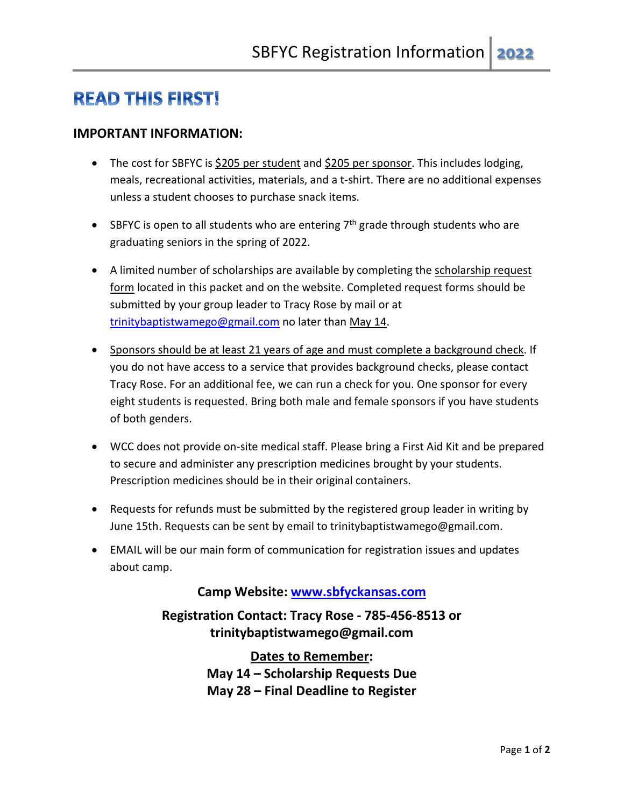# **READ THIS FIRST!**

#### **IMPORTANT INFORMATION:**

- The cost for SBFYC is \$205 per student and \$205 per sponsor. This includes lodging, meals, recreational activities, materials, and a t-shirt. There are no additional expenses unless a student chooses to purchase snack items.
- SBFYC is open to all students who are entering  $7<sup>th</sup>$  grade through students who are graduating seniors in the spring of 2022.
- A limited number of scholarships are available by completing the scholarship request form located in this packet and on the website. Completed request forms should be submitted by your group leader to Tracy Rose by mail or at [trinitybaptistwamego@gmail.com](mailto:trinitybaptistwamego@gmail.com) no later than May 14.
- Sponsors should be at least 21 years of age and must complete a background check. If you do not have access to a service that provides background checks, please contact Tracy Rose. For an additional fee, we can run a check for you. One sponsor for every eight students is requested. Bring both male and female sponsors if you have students of both genders.
- WCC does not provide on-site medical staff. Please bring a First Aid Kit and be prepared to secure and administer any prescription medicines brought by your students. Prescription medicines should be in their original containers.
- Requests for refunds must be submitted by the registered group leader in writing by June 15th. Requests can be sent by email to trinitybaptistwamego@gmail.com.
- EMAIL will be our main form of communication for registration issues and updates about camp.

#### **Camp Website: [www.sbfyckansas.com](http://www.sbfyckansas.com/)**

**Registration Contact: Tracy Rose - 785-456-8513 or trinitybaptistwamego@gmail.com**

> **Dates to Remember: May 14 – Scholarship Requests Due May 28 – Final Deadline to Register**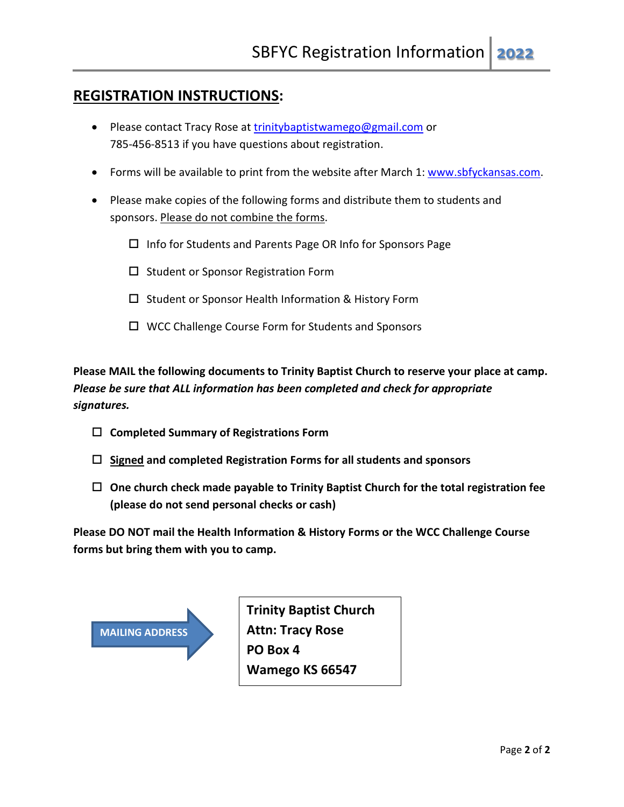## **REGISTRATION INSTRUCTIONS:**

- Please contact Tracy Rose at [trinitybaptistwamego@gmail.com](mailto:trinitybaptistwamego@gmail.com) or 785-456-8513 if you have questions about registration.
- Forms will be available to print from the website after March 1: [www.sbfyckansas.com.](http://www.sbfyckansas.com/)
- Please make copies of the following forms and distribute them to students and sponsors. Please do not combine the forms.
	- $\Box$  Info for Students and Parents Page OR Info for Sponsors Page
	- $\square$  Student or Sponsor Registration Form
	- $\square$  Student or Sponsor Health Information & History Form
	- □ WCC Challenge Course Form for Students and Sponsors

**Please MAIL the following documents to Trinity Baptist Church to reserve your place at camp.** *Please be sure that ALL information has been completed and check for appropriate signatures.*

- **Completed Summary of Registrations Form**
- **Signed and completed Registration Forms for all students and sponsors**
- **One church check made payable to Trinity Baptist Church for the total registration fee (please do not send personal checks or cash)**

**Please DO NOT mail the Health Information & History Forms or the WCC Challenge Course forms but bring them with you to camp.**

| <b>MAILING ADDRESS</b> |
|------------------------|
|                        |
|                        |

**Trinity Baptist Church Attn: Tracy Rose PO Box 4 Wamego KS 66547**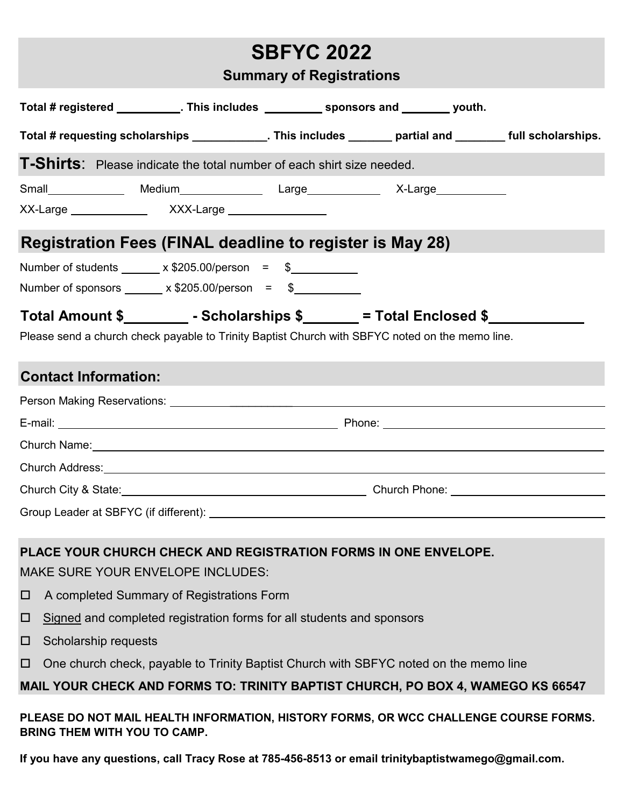|                                                                                                 |                                                                     | <b>SBFYC 2022</b> |                                                                                                                                                                                                                                      |  |  |  |
|-------------------------------------------------------------------------------------------------|---------------------------------------------------------------------|-------------------|--------------------------------------------------------------------------------------------------------------------------------------------------------------------------------------------------------------------------------------|--|--|--|
| <b>Summary of Registrations</b>                                                                 |                                                                     |                   |                                                                                                                                                                                                                                      |  |  |  |
|                                                                                                 |                                                                     |                   |                                                                                                                                                                                                                                      |  |  |  |
|                                                                                                 |                                                                     |                   | Total # registered ___________. This includes ___________ sponsors and ________ youth.                                                                                                                                               |  |  |  |
|                                                                                                 |                                                                     |                   | Total # requesting scholarships _____________. This includes _______ partial and _______ full scholarships.                                                                                                                          |  |  |  |
| <b>T-Shirts:</b> Please indicate the total number of each shirt size needed.                    |                                                                     |                   |                                                                                                                                                                                                                                      |  |  |  |
|                                                                                                 |                                                                     |                   |                                                                                                                                                                                                                                      |  |  |  |
|                                                                                                 | XX-Large ________________  XXX-Large __________________             |                   |                                                                                                                                                                                                                                      |  |  |  |
| <b>Registration Fees (FINAL deadline to register is May 28)</b>                                 |                                                                     |                   |                                                                                                                                                                                                                                      |  |  |  |
|                                                                                                 | Number of students $\frac{\sqrt{205.00}}{p}$ x \$205.00/person = \$ |                   |                                                                                                                                                                                                                                      |  |  |  |
|                                                                                                 | Number of sponsors $\frac{\sqrt{205.00}}{p}$ x \$205.00/person = \$ |                   |                                                                                                                                                                                                                                      |  |  |  |
|                                                                                                 |                                                                     |                   | Total Amount \$_______________- Scholarships \$_________ = Total Enclosed \$_______                                                                                                                                                  |  |  |  |
| Please send a church check payable to Trinity Baptist Church with SBFYC noted on the memo line. |                                                                     |                   |                                                                                                                                                                                                                                      |  |  |  |
| <b>Contact Information:</b>                                                                     |                                                                     |                   |                                                                                                                                                                                                                                      |  |  |  |
|                                                                                                 |                                                                     |                   |                                                                                                                                                                                                                                      |  |  |  |
|                                                                                                 |                                                                     |                   |                                                                                                                                                                                                                                      |  |  |  |
|                                                                                                 |                                                                     |                   | Church Name: <u>contract and contract and contract and contract and contract and contract and contract and contract and contract and contract and contract and contract and contract and contract and contract and contract and </u> |  |  |  |
|                                                                                                 | Church Address: <b>Example 2018 Church Address:</b>                 |                   |                                                                                                                                                                                                                                      |  |  |  |
|                                                                                                 |                                                                     |                   | Church City & State: <u>Church Phone:</u> Church Phone: Church Phone: Church Phone: Church Phone: Church Phone: Church Phone: Church Phone: Church Phone: Church Phone: Church Phone: Church Phone: Church Phone: Church Phone: Chu  |  |  |  |
| Group Leader at SBFYC (if different):                                                           |                                                                     |                   |                                                                                                                                                                                                                                      |  |  |  |

# **PLACE YOUR CHURCH CHECK AND REGISTRATION FORMS IN ONE ENVELOPE.**

MAKE SURE YOUR ENVELOPE INCLUDES:

- □ A completed Summary of Registrations Form
- $\Box$  Signed and completed registration forms for all students and sponsors
- $\square$  Scholarship requests
- □ One church check, payable to Trinity Baptist Church with SBFYC noted on the memo line

# **MAIL YOUR CHECK AND FORMS TO: TRINITY BAPTIST CHURCH, PO BOX 4, WAMEGO KS 66547**

## **PLEASE DO NOT MAIL HEALTH INFORMATION, HISTORY FORMS, OR WCC CHALLENGE COURSE FORMS. BRING THEM WITH YOU TO CAMP.**

**If you have any questions, call Tracy Rose at 785-456-8513 or email trinitybaptistwamego@gmail.com.**